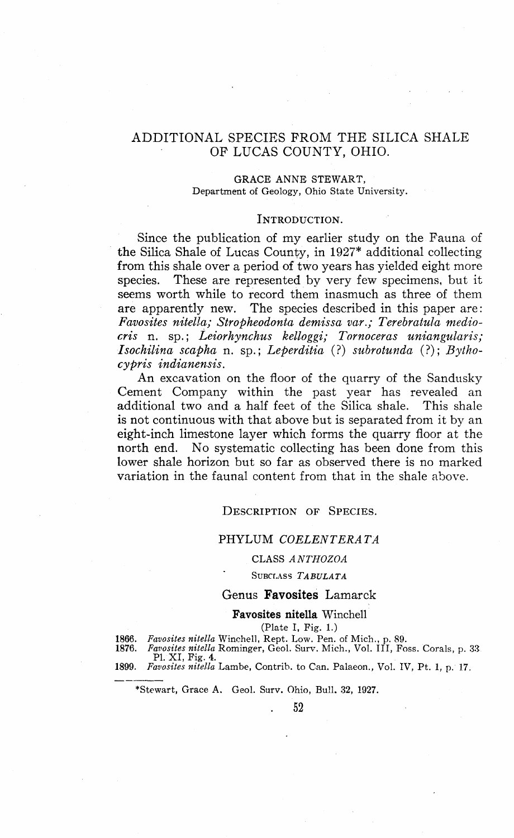## ADDITIONAL SPECIES PROM THE SILICA SHALE OP LUCAS COUNTY, OHIO.

#### **GRACE** ANNE **STEWART,** Department of Geology, Ohio State University.

## INTRODUCTION.

Since the publication of my earlier study on the Fauna of the Silica Shale of Lucas County, in 1927\* additional collecting from this shale over a period of two years has yielded eight more species. These are represented by very few specimens, but it seems worth while to record them inasmuch as three of them are apparently new. The species described in this paper are: *Favosites nitella; Stropheodonta demissa var.; Terebratula mediocris* n. sp.; *Leiorhynchus kelloggi; Tornoceras uniangularis; Isochilina scapha* n. sp.; *Leperditia* (?) *subrotunda* (?); *Bythocypris indianensis.*

An excavation on the floor of the quarry of the Sandusky Cement Company within the past year has revealed an additional two and a half feet of the Silica shale. This shale is not continuous with that above but is separated from it by an eight-inch limestone layer which forms the quarry floor at the north end. No systematic collecting has been done from this lower shale horizon but so far as observed there is no marked variation in the faunal content from that in the shale above.

#### DESCRIPTION OF SPECIES.

## PHYLUM *COELENTERATA*

#### CLASS *ANTHOZOA*

## SUBCLASS *TABULATA*

## Genus **Favosites** Lamarck

#### **Favosites nitella** Winchell

(Plate I, Pig. **1.)**

**1866.** *Favosites nitella* Winchell, Rept. Low. Pen. of Mich., p. 89. **1876.** *Favosites nitella* Rominger, Geol. Surv. Mich., Vol. Ill, Foss. Corals, p. 33 PI. XI, Pig. **4.**

**1899.** *Favosites nitella* Lambe, Contrib. to Can. Palaeon., Vol. IV, Pt. 1, p. 17.

\*Stewart, Grace A. Geol. Surv. Ohio, Bull. **32, 1927.**

**. 52**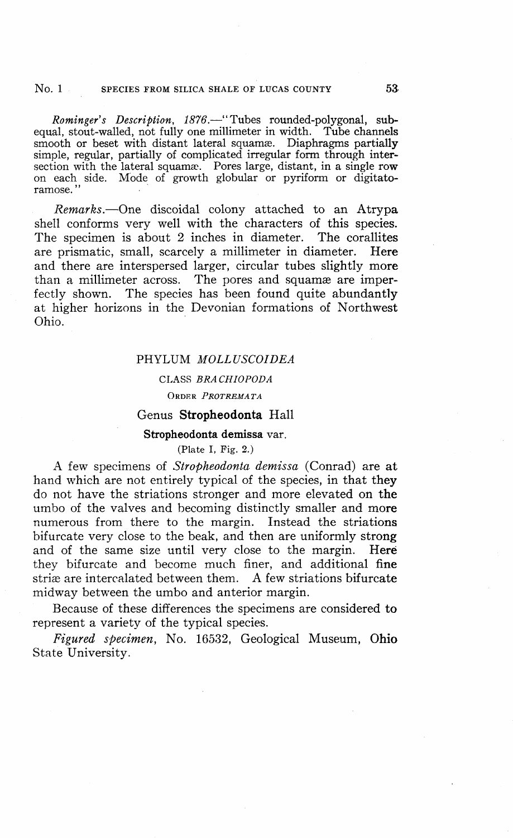#### No. 1 SPECIES FROM SILICA SHALE OF LUCAS COUNTY 53

*Rominger's Description, 1876.*—"Tubes rounded-polygonal, subequal, stout-walled, not fully one millimeter in width. Tube channels smooth or beset with distant lateral squamæ. Diaphragms partially simple, regular, partially of complicated irregular form through intersection with the lateral squama. Pores large, distant, in a single row on each side. Mode of growth globular or pyriform or digitatoramose."

*Remarks.*—One discoidal colony attached to an Atrypa shell conforms very well with the characters of this species. The specimen is about 2 inches in diameter. The corallites are prismatic, small, scarcely a millimeter in diameter. Here and there are interspersed larger, circular tubes slightly more than a millimeter across. The pores and squamæ are imperfectly shown. The species has been found quite abundantly at higher horizons in the Devonian formations of Northwest Ohio.

## PHYLUM *MOLLUSCOIDEA*

## CLASS *BRACHIOPODA*

ORDER *PROTREMATA*

## Genus **Stropheodonta** Hall

#### **Stropheodonta demissa** var.

## (Plate I, Fig. 2.)

A few specimens of *Stropheodonta demissa* (Conrad) are at hand which are not entirely typical of the species, in that they do not have the striations stronger and more elevated on the umbo of the valves and becoming distinctly smaller and more numerous from there to the margin. Instead the striations bifurcate very close to the beak, and then are uniformly strong and of the same size until very close to the margin. Here they bifurcate and become much finer, and additional fine striae are intercalated between them. A few striations bifurcate midway between the umbo and anterior margin.

Because of these differences the specimens are considered **to** represent a variety of the typical species.

*Figured specimen,* No. 16532, Geological Museum, **Ohio** State University.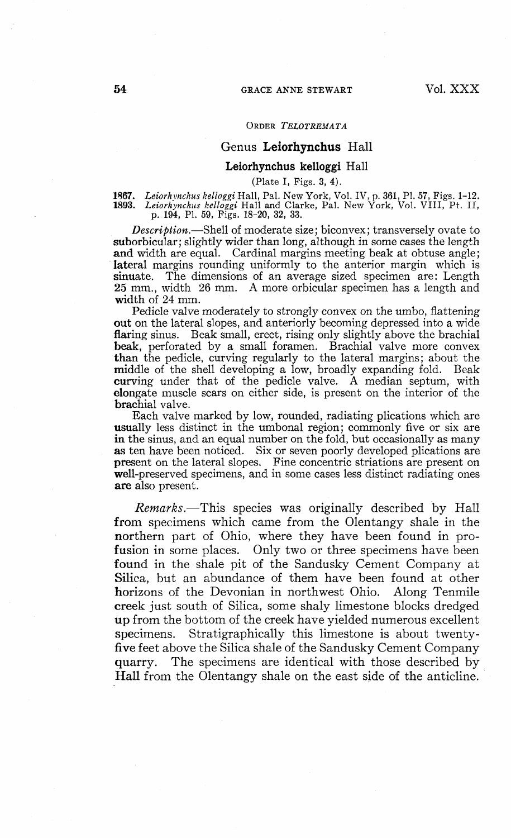## Genus **Leiorhynchus** Hall

#### **Leiorhynchus kelloggi** Hall

(Plate I, Pigs. 3, 4).

1867. Leiorhynchus kelloggi Hall, Pal. New York, Vol. IV, p. 361, Pl. 57, Figs. 1–12.<br>1893. Leiorhynchus kelloggi Hall and Clarke, Pal. New York, Vol. VIII, Pt. II, p. 194, Pl. 59, Figs. 18–20, 32, 33.

*Description.*—Shell of moderate size; biconvex; transversely ovate to suborbicular; slightly wider than long, although in some cases the length and width are equal. Cardinal margins meeting beak at obtuse angle; lateral margins rounding uniformly to the anterior margin which is sinuate. The dimensions of an average sized specimen are: Length 25 mm., width 26 mm. A more orbicular specimen has a length and width of 24 mm.

Pedicle valve moderately to strongly convex on the umbo, flattening **out** on the lateral slopes, and anteriorly becoming depressed into a wide flaring sinus. Beak small, erect, rising only slightly above the brachial beak, perforated by a small foramen. Brachial valve more convex than the pedicle, curving regularly to the lateral margins; about the middle of the shell developing a low, broadly expanding fold. Beak curving under that of the pedicle valve. A median septum, with elongate muscle scars on either side, is present on the interior of the brachial valve.

Each valve marked by low, rounded, radiating plications which are usually less distinct in the umbonal region; commonly five or six are in the sinus, and an equal number on the fold, but occasionally as many as ten have been noticed. Six or seven poorly developed plications are present on the lateral slopes. Fine concentric striations are present on well-preserved specimens, and in some cases less distinct radiating ones are also present.

*Remarks.*—This species was originally described by Hall from specimens which came from the Olentangy shale in the northern part of Ohio, where they have been found in profusion in some places. Only two or three specimens have been found in the shale pit of the Sandusky Cement Company at Silica, but an abundance of them have been found at other horizons of the Devonian in northwest Ohio. Along Tenmile creek just south of Silica, some shaly limestone blocks dredged up from the bottom of the creek have yielded numerous excellent specimens. Stratigraphically this limestone is about twentyfive feet above the Silica shale of the Sandusky Cement Company quarry. The specimens are identical with those described by Hall from the Olentangy shale on the east side of the anticline.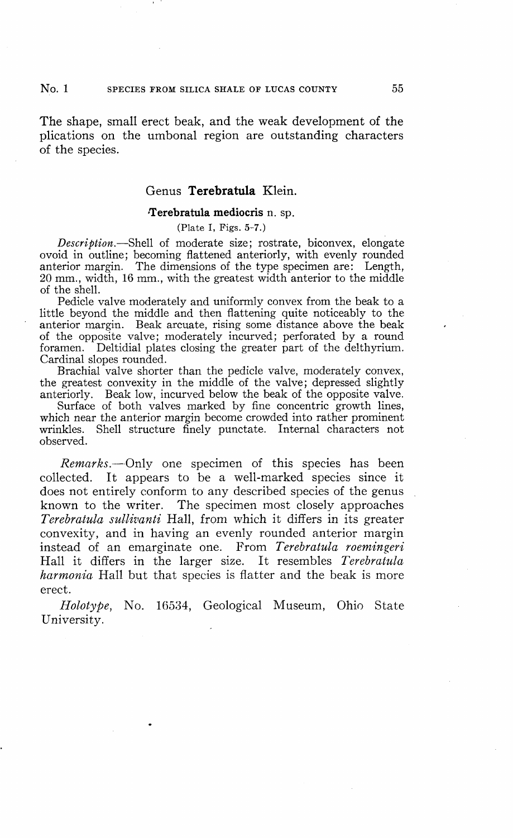## No. 1 SPECIES FROM SILICA SHALE OF LUCAS COUNTY 55

The shape, small erect beak, and the weak development of the plications on the umbonal region are outstanding characters of the species.

## Genus **Terebratula** Klein.

#### **•Terebratula mediocris** n. sp.

(Plate I, Figs. 5-7.)

*Description.*—Shell of moderate size; rostrate, biconvex, elongate ovoid in outline; becoming flattened anteriorly, with evenly rounded anterior margin. The dimensions of the type specimen are: Length, 20 mm., width, 16 mm., with the greatest width anterior to the middle of the shell.

Pedicle valve moderately and uniformly convex from the beak to a little beyond the middle and then flattening quite noticeably to the anterior margin. Beak arcuate, rising some distance above the beak of the opposite valve; moderately incurved; perforated by a round foramen. Deltidial plates closing the greater part of the delthyrium. Cardinal slopes rounded.

Brachial valve shorter than the pedicle valve, moderately convex, the greatest convexity in the middle of the valve; depressed slightly anteriorly. Beak low, incurved below the beak of the opposite valve.

Surface of both valves marked by fine concentric growth lines, which near the anterior margin become crowded into rather prominent wrinkles. Shell structure finely punctate. Internal characters not observed.

*Remarks.*—Only one specimen of this species has been collected. It appears to be a well-marked species since it does not entirely conform to any described species of the genus known to the writer. The specimen most closely approaches *Terebratula sullivanti* Hall, from which it differs in its greater convexity, and in having an evenly rounded anterior margin instead of an emarginate one. From *Terebratula roemingeri* Hall it differs in the larger size. It resembles *Terebratula harmonia* Hall but that species is flatter and the beak is more erect.

*Holotype,* No. 16534, Geological Museum, Ohio State University.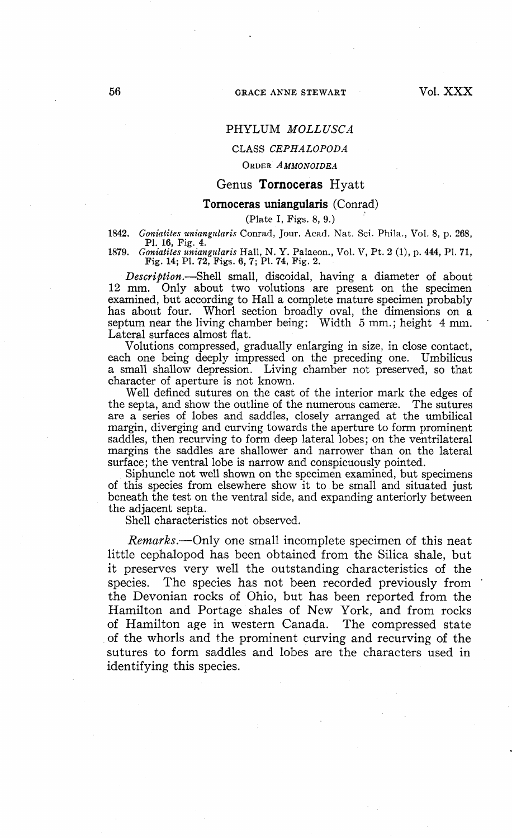## PHYLUM *MOLLUSC A*

#### CLASS *CEPHALOPODA*

#### ORDER *AMMONOIDEA*

## Genus **Tornoceras** Hyatt

#### **Tornoceras uniangularis** (Conrad)

(Plate I, Figs. 8, 9.)

1842. *Goniatites uniangularis* Conrad, Jour. Acad. Nat. Sci. Phila., Vol. 8, p. 268, PI. 16, Pig. 4.

1879. *Goniatites uniangularis* Hall, N. Y. Palaeon., Vol. V, Pt. 2 (1), p. 444, PI. 71, Fig. 14; PL 72, Figs. 6, 7; PL 74, Fig. 2.

*Description.*—Shell small, discoidal, having a diameter of about 12 mm. Only about two volutions are present on the specimen examined, but according to Hall a complete mature specimen probably has about four. Whorl section broadly oval, the dimensions on a septum near the living chamber being: Width  $5 \text{ mm}$ ; height  $4 \text{ mm}$ . Lateral surfaces almost flat.

Volutions compressed, gradually enlarging in size, in close contact, each one being deeply impressed on the preceding one. Umbilicus a small shallow depression. Living chamber not preserved, so that character of aperture is not known.

Well defined sutures on the cast of the interior mark the edges of the septa, and show the outline of the numerous camerae. The sutures are a series of lobes and saddles, closely arranged at the umbilical margin, diverging and curving towards the aperture to form prominent saddles, then recurving to form deep lateral lobes; on the ventrilateral margins the saddles are shallower and narrower than on the lateral surface; the ventral lobe is narrow and conspicuously pointed.

Siphuncle not well shown on the specimen examined, but specimens of this species from elsewhere show it to be small and situated just beneath the test on the ventral side, and expanding anteriorly between the adjacent septa.

Shell characteristics not observed.

*Remarks.*—Only one small incomplete specimen of this neat little cephalopod has been obtained from the Silica shale, but it preserves very well the outstanding characteristics of the species. The species has not been recorded previously from the Devonian rocks of Ohio, but has been reported from the Hamilton and Portage shales of New York, and from rocks of Hamilton age in western Canada. The compressed state of the whorls and the prominent curving and recurving of the sutures to form saddles and lobes are the characters used in identifying this species.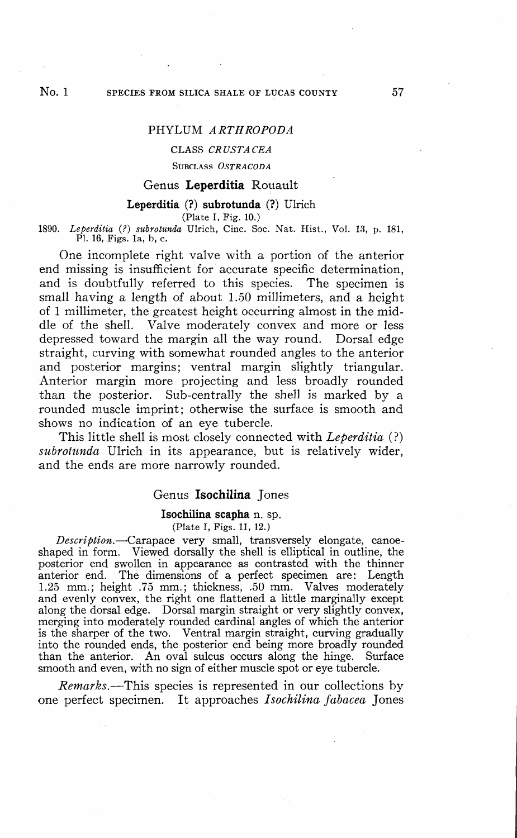## PHYLUM ARTHROPODA

## CLASS *CRUSTACEA*

SUBCLASS *OSTRACODA*

## Genus **Leperditia** Rouault

#### **Leperditia (?) subrotunda (?)** Ulrich

(Plate I, Pig. 10.)

1890. *Leperditia* (?) *subrotunda* Ulrich, Cine. Soc. Nat. Hist., Vol. 13, p. 181, PI. 16, Figs, la, b, c.

One incomplete right valve with a portion of the anterior end missing is insufficient for accurate specific determination, and is doubtfully referred to this species. The specimen is small having a length of about 1.50 millimeters, and a height of 1 millimeter, the greatest height occurring almost in the middle of the shell. Valve moderately convex and more or less depressed toward the margin all the way round. Dorsal edge straight, curving with somewhat rounded angles to the anterior and posterior margins; ventral margin slightly triangular. Anterior margin more projecting and less broadly rounded than the posterior. Sub-centrally the shell is marked by a rounded muscle imprint; otherwise the surface is smooth and shows no indication of an eye tubercle.

This little shell is most closely connected with *Leperditia* (?) *subrotunda* Ulrich in its appearance, but is relatively wider, and the ends are more narrowly rounded.

#### Genus **Isochilina** Jones

**Isochilina scapha n.** sp.

(Plate I, Pigs. 11, 12.)

*Description.*—Carapace very small, transversely elongate, canoeshaped in form. Viewed dorsally the shell is elliptical in outline, the posterior end swollen in appearance as contrasted with the thinner anterior end. The dimensions of a perfect specimen are: Length 1.25 mm.; height .75 mm.; thickness, .50 mm. Valves moderately and evenly convex, the right one flattened a little marginally except along the dorsal edge. Dorsal margin straight or very slightly convex, merging into moderately rounded cardinal angles of which the anterior is the sharper of the two. Ventral margin straight, curving gradually into the rounded ends, the posterior end being more broadly rounded than the anterior. An oval sulcus occurs along the hinge. Surface smooth and even, with no sign of either muscle spot or eye tubercle.

*Remarks.*—This species is represented in our collections by one perfect specimen. It approaches *Isochilina fabacea* Jones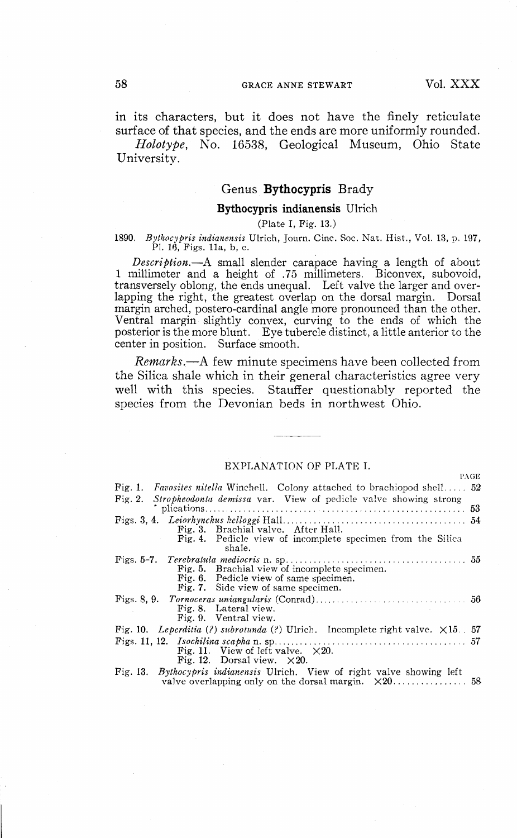$n \cdot \sigma$ 

in its characters, but it does not have the finely reticulate surface of that species, and the ends are more uniformly rounded.

*Holotype,* No. 16538, Geological Museum, Ohio State University.

## Genus **Bythocypris** Brady

## **Bythocypris indianensis** Ulrich

(Plate **I,** Fig. **13.)**

# **1890.** *Bythocypris indianensis* Ulrich, Journ. Cine. Soc. Nat. Hist., Vol. 13, p. 197, PL 16, Figs, lla, b, c.

*Description.*—A small slender carapace having a length of about 1 millimeter and a height of .75 millimeters. Biconvex, subovoid, transversely oblong, the ends unequal. Left valve the larger and overlapping the right, the greatest overlap on the dorsal margin. Dorsal margin arched, postero-cardinal angle more pronounced than the other. Ventral margin slightly convex, curving to the ends of which the posterior is the more blunt. Eye tubercle distinct, a little anterior to the center in position. Surface smooth.

*Remarks.*—A few minute specimens have been collected from the Silica shale which in their general characteristics agree very well with this species. Stauffer questionably reported the species from the Devonian beds in northwest Ohio.

## EXPLANATION OF PLATE I.

| 1'AUB                                                                                 |
|---------------------------------------------------------------------------------------|
| Fig. 1. Favosites nitella Winchell. Colony attached to brachiopod shell 52            |
| Fig. 2. Stropheodonta demissa var. View of pedicle valve showing strong               |
|                                                                                       |
|                                                                                       |
| Fig. 3. Brachial valve. After Hall.                                                   |
| Fig. 4. Pedicle view of incomplete specimen from the Silica                           |
| shale.                                                                                |
|                                                                                       |
| Fig. 5. Brachial view of incomplete specimen.                                         |
| Fig. 6. Pedicle view of same specimen.                                                |
| Fig. 7. Side view of same specimen.                                                   |
|                                                                                       |
| Fig. 8. Lateral view.                                                                 |
| Fig. 9. Ventral view.                                                                 |
| Fig. 10. Leperditia (?) subrotunda (?) Ulrich. Incomplete right valve. $\times 15.57$ |
|                                                                                       |
| Fig. 11. View of left valve. $\times 20$ .                                            |
| Fig. 12. Dorsal view. $\times 20$ .                                                   |
| Fig. 13. <i>Bythocypris indianensis</i> Ulrich. View of right valve showing left      |
|                                                                                       |